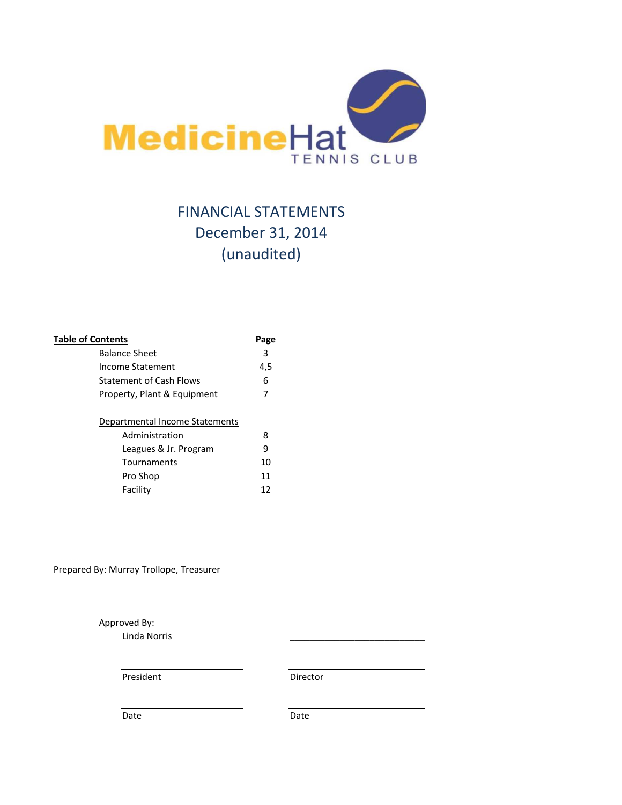

# FINANCIAL STATEMENTS December 31, 2014 (unaudited)

| <b>Table of Contents</b>       | Page |
|--------------------------------|------|
| <b>Balance Sheet</b>           | 3    |
| Income Statement               | 4,5  |
| <b>Statement of Cash Flows</b> | 6    |
| Property, Plant & Equipment    | 7    |
|                                |      |
| Departmental Income Statements |      |
| Administration                 | 8    |
| Leagues & Jr. Program          | 9    |
| Tournaments                    | 10   |
| Pro Shop                       | 11   |
| Facility                       | 12   |
|                                |      |

Prepared By: Murray Trollope, Treasurer

Approved By:

Linda Norris \_\_\_\_\_\_\_\_\_\_\_\_\_\_\_\_\_\_\_\_\_\_\_\_\_\_\_

President Director

Date Date Date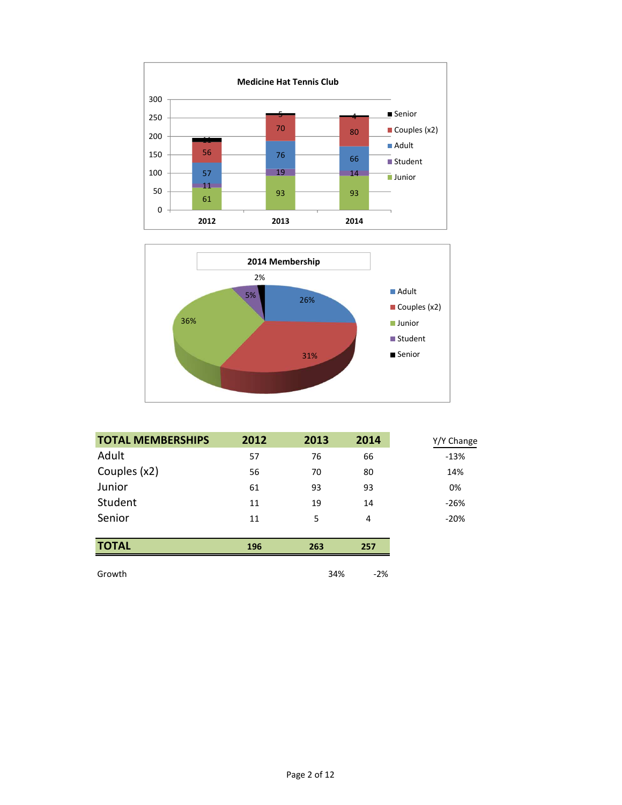



| <b>TOTAL MEMBERSHIPS</b> | 2012 | 2013 | 2014  | Y/Y Change |
|--------------------------|------|------|-------|------------|
| Adult                    | 57   | 76   | 66    | $-13%$     |
| Couples (x2)             | 56   | 70   | 80    | 14%        |
| Junior                   | 61   | 93   | 93    | 0%         |
| Student                  | 11   | 19   | 14    | $-26%$     |
| Senior                   | 11   | 5    | 4     | $-20%$     |
|                          |      |      |       |            |
| <b>TOTAL</b>             | 196  | 263  | 257   |            |
| Growth                   |      | 34%  | $-2%$ |            |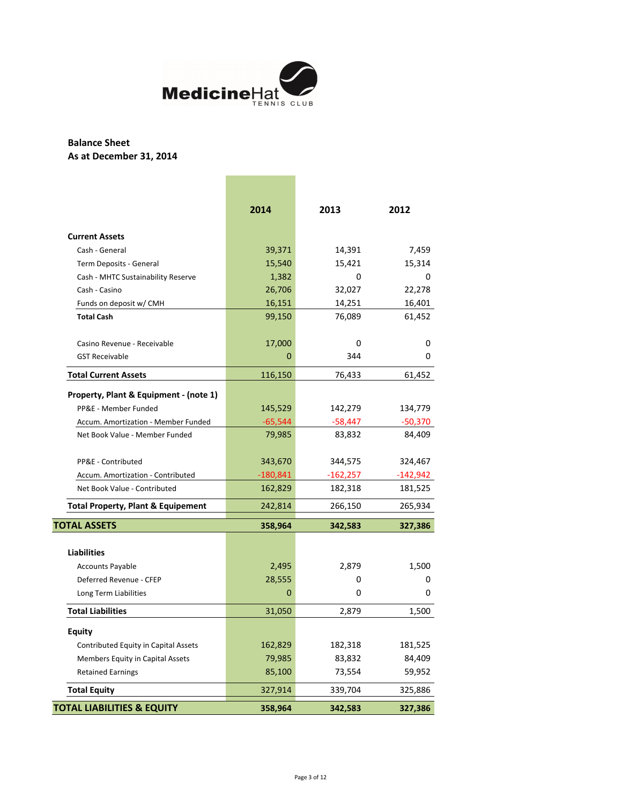

# **Balance Sheet As at December 31, 2014**

|                                               | 2014       | 2013       | 2012      |
|-----------------------------------------------|------------|------------|-----------|
| <b>Current Assets</b>                         |            |            |           |
| Cash - General                                | 39,371     | 14,391     | 7,459     |
| Term Deposits - General                       | 15,540     | 15,421     | 15,314    |
| Cash - MHTC Sustainability Reserve            | 1,382      | 0          | 0         |
| Cash - Casino                                 | 26,706     | 32,027     | 22,278    |
| Funds on deposit w/ CMH                       | 16,151     | 14,251     | 16,401    |
| <b>Total Cash</b>                             | 99,150     | 76,089     | 61,452    |
| Casino Revenue - Receivable                   | 17,000     | 0          | 0         |
| <b>GST Receivable</b>                         | $\Omega$   | 344        | 0         |
| <b>Total Current Assets</b>                   | 116,150    | 76,433     | 61,452    |
| Property, Plant & Equipment - (note 1)        |            |            |           |
| PP&E - Member Funded                          | 145,529    | 142,279    | 134,779   |
| Accum. Amortization - Member Funded           | $-65,544$  | $-58,447$  | $-50,370$ |
| Net Book Value - Member Funded                | 79,985     | 83,832     | 84,409    |
| PP&E - Contributed                            | 343,670    | 344,575    | 324,467   |
| Accum. Amortization - Contributed             | $-180,841$ | $-162,257$ | -142,942  |
| Net Book Value - Contributed                  | 162,829    | 182,318    | 181,525   |
| <b>Total Property, Plant &amp; Equipement</b> | 242,814    | 266,150    | 265,934   |
| <b>TOTAL ASSETS</b>                           | 358,964    | 342,583    | 327,386   |
| <b>Liabilities</b>                            |            |            |           |
| <b>Accounts Payable</b>                       | 2,495      | 2,879      | 1,500     |
| Deferred Revenue - CFEP                       | 28,555     | 0          | 0         |
| Long Term Liabilities                         | 0          | 0          | 0         |
| <b>Total Liabilities</b>                      | 31,050     | 2,879      | 1,500     |
| Equity                                        |            |            |           |
| Contributed Equity in Capital Assets          | 162,829    | 182,318    | 181,525   |
| Members Equity in Capital Assets              | 79,985     | 83,832     | 84,409    |
| <b>Retained Earnings</b>                      | 85,100     | 73,554     | 59,952    |
| <b>Total Equity</b>                           | 327,914    | 339,704    | 325,886   |
| <b>TOTAL LIABILITIES &amp; EQUITY</b>         | 358,964    | 342,583    | 327,386   |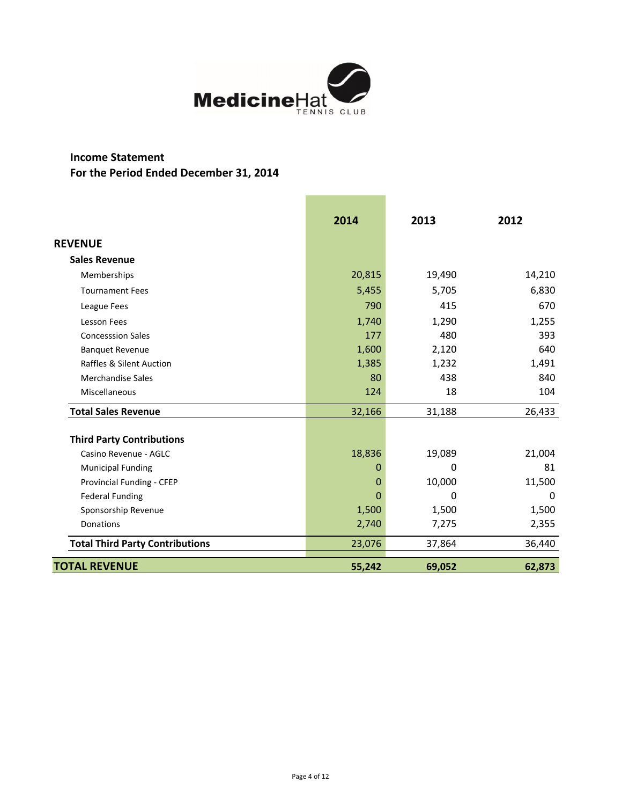

# **Income Statement For the Period Ended December 31, 2014**

|                                        | 2014   | 2013   | 2012     |
|----------------------------------------|--------|--------|----------|
| <b>REVENUE</b>                         |        |        |          |
| <b>Sales Revenue</b>                   |        |        |          |
| Memberships                            | 20,815 | 19,490 | 14,210   |
| <b>Tournament Fees</b>                 | 5,455  | 5,705  | 6,830    |
| League Fees                            | 790    | 415    | 670      |
| Lesson Fees                            | 1,740  | 1,290  | 1,255    |
| <b>Concesssion Sales</b>               | 177    | 480    | 393      |
| <b>Banquet Revenue</b>                 | 1,600  | 2,120  | 640      |
| <b>Raffles &amp; Silent Auction</b>    | 1,385  | 1,232  | 1,491    |
| Merchandise Sales                      | 80     | 438    | 840      |
| Miscellaneous                          | 124    | 18     | 104      |
| <b>Total Sales Revenue</b>             | 32,166 | 31,188 | 26,433   |
| <b>Third Party Contributions</b>       |        |        |          |
| Casino Revenue - AGLC                  | 18,836 | 19,089 | 21,004   |
| <b>Municipal Funding</b>               | 0      | 0      | 81       |
| Provincial Funding - CFEP              | 0      | 10,000 | 11,500   |
| <b>Federal Funding</b>                 | 0      | 0      | $\Omega$ |
| Sponsorship Revenue                    | 1,500  | 1,500  | 1,500    |
| Donations                              | 2,740  | 7,275  | 2,355    |
| <b>Total Third Party Contributions</b> | 23,076 | 37,864 | 36,440   |
| <b>TOTAL REVENUE</b>                   | 55,242 | 69,052 | 62,873   |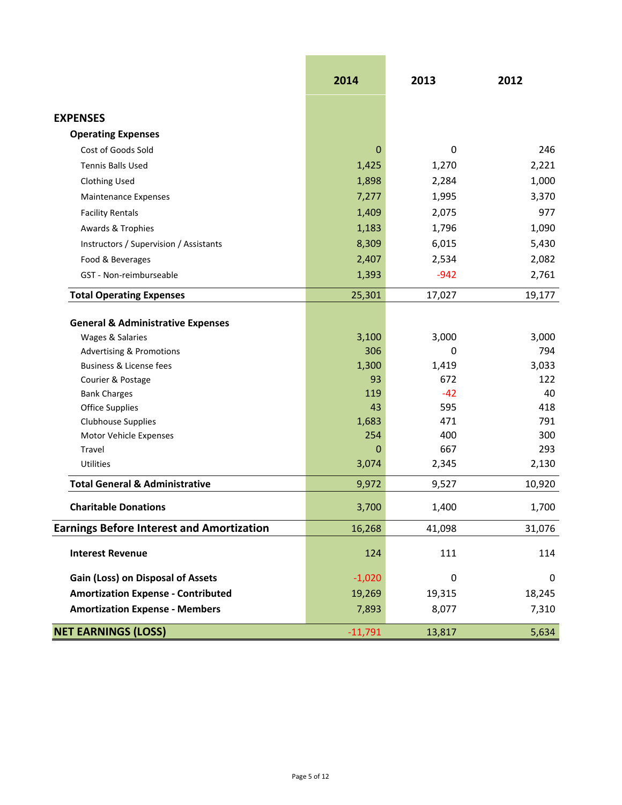|                                                  | 2014        | 2013         | 2012       |
|--------------------------------------------------|-------------|--------------|------------|
| <b>EXPENSES</b>                                  |             |              |            |
| <b>Operating Expenses</b>                        |             |              |            |
| Cost of Goods Sold                               | 0           | 0            | 246        |
| Tennis Balls Used                                | 1,425       | 1,270        | 2,221      |
| Clothing Used                                    | 1,898       | 2,284        | 1,000      |
| <b>Maintenance Expenses</b>                      | 7,277       | 1,995        | 3,370      |
| <b>Facility Rentals</b>                          | 1,409       | 2,075        | 977        |
| Awards & Trophies                                | 1,183       | 1,796        | 1,090      |
| Instructors / Supervision / Assistants           | 8,309       | 6,015        | 5,430      |
| Food & Beverages                                 | 2,407       | 2,534        | 2,082      |
| GST - Non-reimburseable                          | 1,393       | $-942$       | 2,761      |
| <b>Total Operating Expenses</b>                  | 25,301      | 17,027       | 19,177     |
| <b>General &amp; Administrative Expenses</b>     |             |              |            |
| Wages & Salaries                                 | 3,100       | 3,000        | 3,000      |
| <b>Advertising &amp; Promotions</b>              | 306         | 0            | 794        |
| Business & License fees                          | 1,300       | 1,419        | 3,033      |
| Courier & Postage                                | 93          | 672          | 122        |
| <b>Bank Charges</b>                              | 119         | $-42$<br>595 | 40         |
| <b>Office Supplies</b><br>Clubhouse Supplies     | 43<br>1,683 | 471          | 418<br>791 |
| Motor Vehicle Expenses                           | 254         | 400          | 300        |
| <b>Travel</b>                                    | 0           | 667          | 293        |
| Utilities                                        | 3,074       | 2,345        | 2,130      |
| <b>Total General &amp; Administrative</b>        | 9,972       | 9,527        | 10,920     |
| <b>Charitable Donations</b>                      | 3,700       | 1,400        | 1,700      |
| <b>Earnings Before Interest and Amortization</b> | 16,268      | 41,098       | 31,076     |
| <b>Interest Revenue</b>                          | 124         | 111          | 114        |
| Gain (Loss) on Disposal of Assets                | $-1,020$    | 0            | 0          |
| <b>Amortization Expense - Contributed</b>        | 19,269      | 19,315       | 18,245     |
| <b>Amortization Expense - Members</b>            | 7,893       | 8,077        | 7,310      |
| <b>NET EARNINGS (LOSS)</b>                       | $-11,791$   | 13,817       | 5,634      |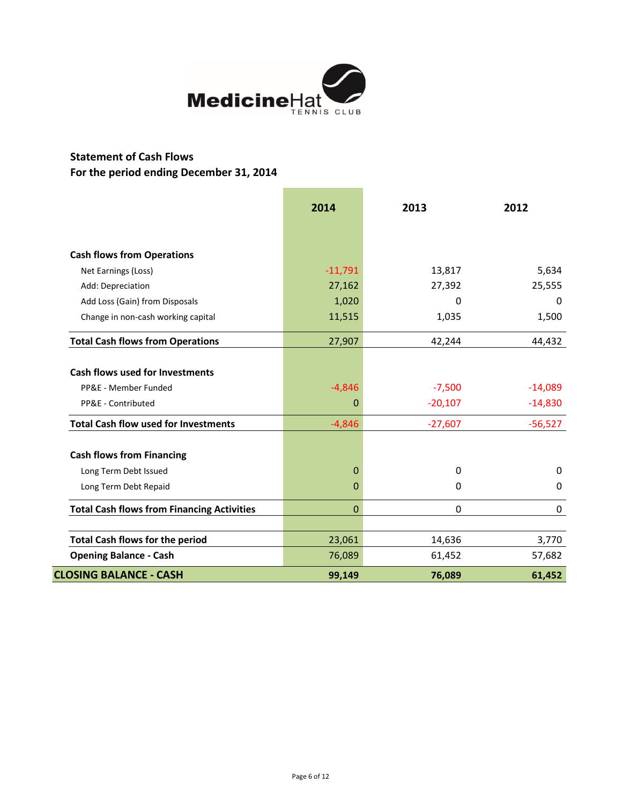

# **Statement of Cash Flows For the period ending December 31, 2014**

|                                                   | 2014      | 2013        | 2012      |
|---------------------------------------------------|-----------|-------------|-----------|
|                                                   |           |             |           |
| <b>Cash flows from Operations</b>                 |           |             |           |
| Net Earnings (Loss)                               | $-11,791$ | 13,817      | 5,634     |
| Add: Depreciation                                 | 27,162    | 27,392      | 25,555    |
| Add Loss (Gain) from Disposals                    | 1,020     | $\Omega$    | $\Omega$  |
| Change in non-cash working capital                | 11,515    | 1,035       | 1,500     |
| <b>Total Cash flows from Operations</b>           | 27,907    | 42,244      | 44,432    |
| <b>Cash flows used for Investments</b>            |           |             |           |
| PP&E - Member Funded                              | $-4,846$  | $-7,500$    | $-14,089$ |
| PP&E - Contributed                                | 0         | $-20,107$   | $-14,830$ |
| <b>Total Cash flow used for Investments</b>       | $-4,846$  | $-27,607$   | $-56,527$ |
| <b>Cash flows from Financing</b>                  |           |             |           |
| Long Term Debt Issued                             | 0         | 0           | 0         |
| Long Term Debt Repaid                             | 0         | 0           | $\Omega$  |
| <b>Total Cash flows from Financing Activities</b> | 0         | $\mathbf 0$ | 0         |
| <b>Total Cash flows for the period</b>            | 23,061    | 14,636      | 3,770     |
| <b>Opening Balance - Cash</b>                     | 76,089    | 61,452      | 57,682    |
| <b>CLOSING BALANCE - CASH</b>                     | 99,149    | 76,089      | 61,452    |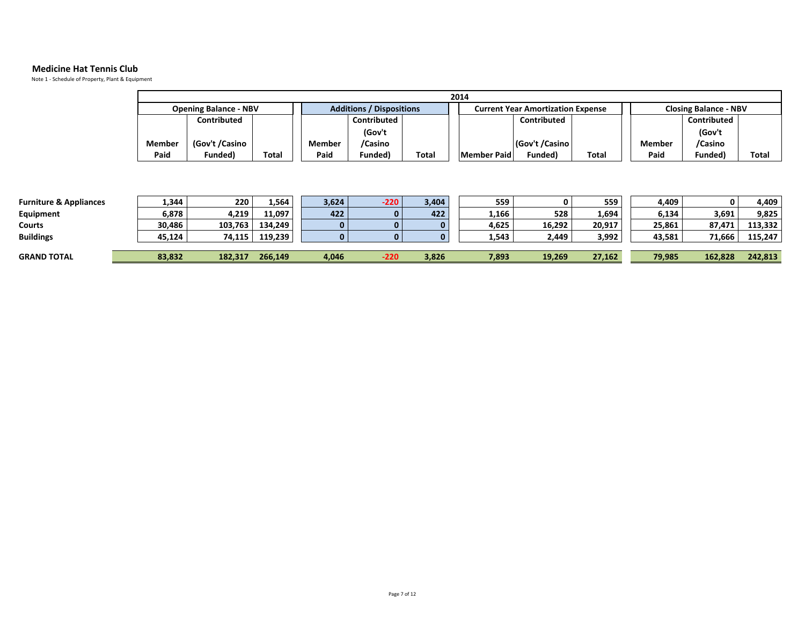#### **Medicine Hat Tennis Club**

Note 1 - Schedule of Property, Plant & Equipment

| 2014           |       |                                 |             |       |                                          |             |                              |                |             |              |
|----------------|-------|---------------------------------|-------------|-------|------------------------------------------|-------------|------------------------------|----------------|-------------|--------------|
|                |       | <b>Additions / Dispositions</b> |             |       | <b>Current Year Amortization Expense</b> |             | <b>Closing Balance - NBV</b> |                |             |              |
| Contributed    |       |                                 | Contributed |       |                                          | Contributed |                              |                | Contributed |              |
|                |       |                                 | (Gov't      |       |                                          |             |                              |                | (Gov't      |              |
| (Gov't /Casino |       | <b>Member</b>                   | /Casino     |       |                                          |             |                              | Member         | /Casino     |              |
| Funded)        | Total | Paid                            | Funded)     | Total |                                          | Funded)     | Total                        | Paid           | Funded)     | <b>Total</b> |
|                |       | <b>Opening Balance - NBV</b>    |             |       |                                          |             | Member Paid                  | (Gov't /Casino |             |              |

| <b>Furniture &amp; Appliances</b> | 1,344  | 220     | 1,564   | 3,624 | $-220$       | 3,404 | 559   |        | 559    | 4,409  | 0       | 4.409   |
|-----------------------------------|--------|---------|---------|-------|--------------|-------|-------|--------|--------|--------|---------|---------|
| Equipment                         | 6,878  | 4,219   | 11,097  | 422   | $\mathbf{0}$ | 422   | 1,166 | 528    | 1,694  | 6,134  | 3,691   | 9.825   |
| <b>Courts</b>                     | 30,486 | 103,763 | 134,249 |       | $\mathbf{0}$ |       | 4,625 | 16,292 | 20,917 | 25,861 | 87.471  | 113,332 |
| <b>Buildings</b>                  | 45,124 | 74,115  | 119,239 |       | $\mathbf{0}$ |       | 1,543 | 2.449  | 3,992  | 43,581 | 71.666  | 115,247 |
|                                   |        |         |         |       |              |       |       |        |        |        |         |         |
| <b>GRAND TOTAL</b>                | 83,832 | 182.317 | 266.149 | 4,046 | -220         | 3,826 | 7,893 | 19,269 | 27,162 | 79,985 | 162.828 | 242.813 |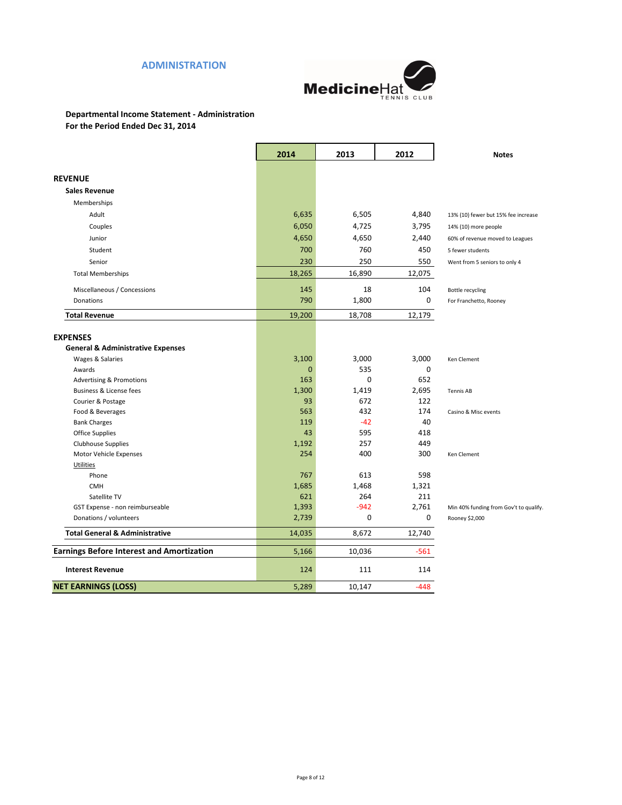# **ADMINISTRATION**



## **Departmental Income Statement - Administration For the Period Ended Dec 31, 2014**

|                                                           | 2014         | 2013         | 2012         | <b>Notes</b>                                             |
|-----------------------------------------------------------|--------------|--------------|--------------|----------------------------------------------------------|
| <b>REVENUE</b>                                            |              |              |              |                                                          |
|                                                           |              |              |              |                                                          |
| <b>Sales Revenue</b>                                      |              |              |              |                                                          |
| Memberships                                               |              |              |              |                                                          |
| Adult                                                     | 6,635        | 6,505        | 4,840        | 13% (10) fewer but 15% fee increase                      |
| Couples                                                   | 6,050        | 4,725        | 3,795        | 14% (10) more people                                     |
| Junior                                                    | 4,650        | 4,650        | 2,440        | 60% of revenue moved to Leagues                          |
| Student                                                   | 700          | 760          | 450          | 5 fewer students                                         |
| Senior                                                    | 230          | 250          | 550          | Went from 5 seniors to only 4                            |
| <b>Total Memberships</b>                                  | 18,265       | 16,890       | 12,075       |                                                          |
| Miscellaneous / Concessions                               | 145          | 18           | 104          | <b>Bottle recycling</b>                                  |
| Donations                                                 | 790          | 1,800        | 0            | For Franchetto, Rooney                                   |
| <b>Total Revenue</b>                                      | 19,200       | 18,708       | 12,179       |                                                          |
|                                                           |              |              |              |                                                          |
| <b>EXPENSES</b>                                           |              |              |              |                                                          |
| <b>General &amp; Administrative Expenses</b>              |              |              |              |                                                          |
| Wages & Salaries                                          | 3,100        | 3,000        | 3,000        | Ken Clement                                              |
| Awards                                                    | $\Omega$     | 535          | 0            |                                                          |
| <b>Advertising &amp; Promotions</b>                       | 163          | 0            | 652          |                                                          |
| Business & License fees                                   | 1,300        | 1,419        | 2,695        | <b>Tennis AB</b>                                         |
| Courier & Postage                                         | 93           | 672          | 122          |                                                          |
| Food & Beverages                                          | 563          | 432          | 174          | Casino & Misc events                                     |
| <b>Bank Charges</b>                                       | 119<br>43    | $-42$<br>595 | 40           |                                                          |
| Office Supplies                                           |              | 257          | 418<br>449   |                                                          |
| Clubhouse Supplies                                        | 1,192<br>254 | 400          | 300          |                                                          |
| Motor Vehicle Expenses                                    |              |              |              | Ken Clement                                              |
| Utilities<br>Phone                                        | 767          | 613          | 598          |                                                          |
|                                                           |              |              |              |                                                          |
| <b>CMH</b><br>Satellite TV                                | 1,685<br>621 | 1,468<br>264 | 1,321<br>211 |                                                          |
|                                                           | 1,393        | $-942$       | 2,761        |                                                          |
| GST Expense - non reimburseable<br>Donations / volunteers | 2,739        | 0            | $\mathbf 0$  | Min 40% funding from Gov't to qualify.<br>Rooney \$2,000 |
|                                                           |              |              |              |                                                          |
| <b>Total General &amp; Administrative</b>                 | 14,035       | 8,672        | 12,740       |                                                          |
| <b>Earnings Before Interest and Amortization</b>          | 5,166        | 10,036       | $-561$       |                                                          |
| <b>Interest Revenue</b>                                   | 124          | 111          | 114          |                                                          |
| <b>NET EARNINGS (LOSS)</b>                                | 5,289        | 10,147       | $-448$       |                                                          |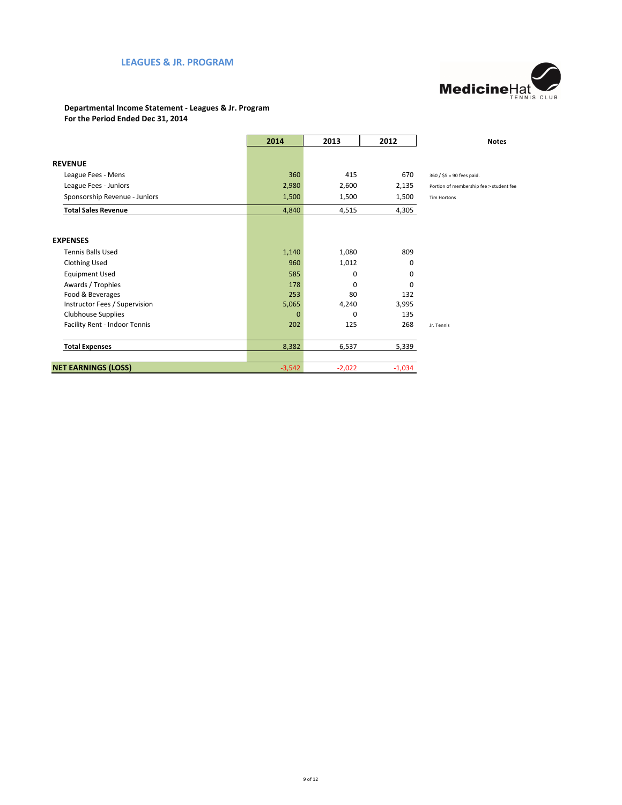# **LEAGUES & JR. PROGRAM**



### **Departmental Income Statement - Leagues & Jr. Program For the Period Ended Dec 31, 2014**

|                               | 2014         | 2013     | 2012     | <b>Notes</b>                            |
|-------------------------------|--------------|----------|----------|-----------------------------------------|
|                               |              |          |          |                                         |
| <b>REVENUE</b>                |              |          |          |                                         |
| League Fees - Mens            | 360          | 415      | 670      | 360 / \$5 = 90 fees paid.               |
| League Fees - Juniors         | 2,980        | 2,600    | 2,135    | Portion of membership fee > student fee |
| Sponsorship Revenue - Juniors | 1,500        | 1,500    | 1,500    | Tim Hortons                             |
| <b>Total Sales Revenue</b>    | 4,840        | 4,515    | 4,305    |                                         |
|                               |              |          |          |                                         |
| <b>EXPENSES</b>               |              |          |          |                                         |
| <b>Tennis Balls Used</b>      | 1,140        | 1,080    | 809      |                                         |
| <b>Clothing Used</b>          | 960          | 1,012    | 0        |                                         |
| <b>Equipment Used</b>         | 585          | 0        | 0        |                                         |
| Awards / Trophies             | 178          | 0        | $\Omega$ |                                         |
| Food & Beverages              | 253          | 80       | 132      |                                         |
| Instructor Fees / Supervision | 5,065        | 4,240    | 3,995    |                                         |
| <b>Clubhouse Supplies</b>     | $\mathbf{0}$ | 0        | 135      |                                         |
| Facility Rent - Indoor Tennis | 202          | 125      | 268      | Jr. Tennis                              |
| <b>Total Expenses</b>         | 8,382        | 6,537    | 5,339    |                                         |
|                               |              |          |          |                                         |
| <b>NET EARNINGS (LOSS)</b>    | $-3,542$     | $-2,022$ | $-1,034$ |                                         |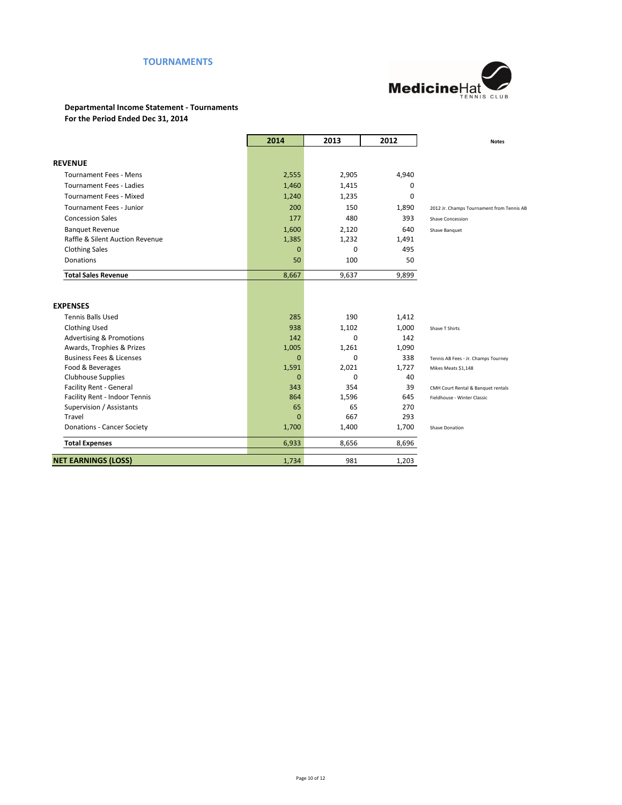# **TOURNAMENTS**



#### **Departmental Income Statement - Tournaments For the Period Ended Dec 31, 2014**

|                                     | 2014     | 2013     | 2012  | <b>Notes</b>                              |
|-------------------------------------|----------|----------|-------|-------------------------------------------|
|                                     |          |          |       |                                           |
| <b>REVENUE</b>                      |          |          |       |                                           |
| <b>Tournament Fees - Mens</b>       | 2,555    | 2,905    | 4,940 |                                           |
| <b>Tournament Fees - Ladies</b>     | 1,460    | 1,415    | 0     |                                           |
| <b>Tournament Fees - Mixed</b>      | 1,240    | 1,235    | 0     |                                           |
| <b>Tournament Fees - Junior</b>     | 200      | 150      | 1,890 | 2012 Jr. Champs Tournament from Tennis AB |
| <b>Concession Sales</b>             | 177      | 480      | 393   | Shave Concession                          |
| <b>Banquet Revenue</b>              | 1,600    | 2,120    | 640   | Shave Banquet                             |
| Raffle & Silent Auction Revenue     | 1,385    | 1,232    | 1,491 |                                           |
| <b>Clothing Sales</b>               | $\Omega$ | $\Omega$ | 495   |                                           |
| <b>Donations</b>                    | 50       | 100      | 50    |                                           |
| <b>Total Sales Revenue</b>          | 8,667    | 9,637    | 9,899 |                                           |
| <b>EXPENSES</b>                     |          |          |       |                                           |
| <b>Tennis Balls Used</b>            | 285      | 190      | 1,412 |                                           |
| <b>Clothing Used</b>                | 938      | 1,102    | 1,000 | Shave T Shirts                            |
| <b>Advertising &amp; Promotions</b> | 142      | $\Omega$ | 142   |                                           |
| Awards, Trophies & Prizes           | 1,005    | 1,261    | 1,090 |                                           |
| <b>Business Fees &amp; Licenses</b> | $\Omega$ | $\Omega$ | 338   | Tennis AB Fees - Jr. Champs Tourney       |
| Food & Beverages                    | 1,591    | 2,021    | 1,727 | Mikes Meats \$1,148                       |
| <b>Clubhouse Supplies</b>           | $\Omega$ | $\Omega$ | 40    |                                           |
| Facility Rent - General             | 343      | 354      | 39    | CMH Court Rental & Banquet rentals        |
| Facility Rent - Indoor Tennis       | 864      | 1,596    | 645   | Fieldhouse - Winter Classic               |
| Supervision / Assistants            | 65       | 65       | 270   |                                           |
| Travel                              | $\Omega$ | 667      | 293   |                                           |
| <b>Donations - Cancer Society</b>   | 1,700    | 1,400    | 1,700 | Shave Donation                            |
| <b>Total Expenses</b>               | 6,933    | 8,656    | 8,696 |                                           |
| <b>NET EARNINGS (LOSS)</b>          | 1,734    | 981      | 1,203 |                                           |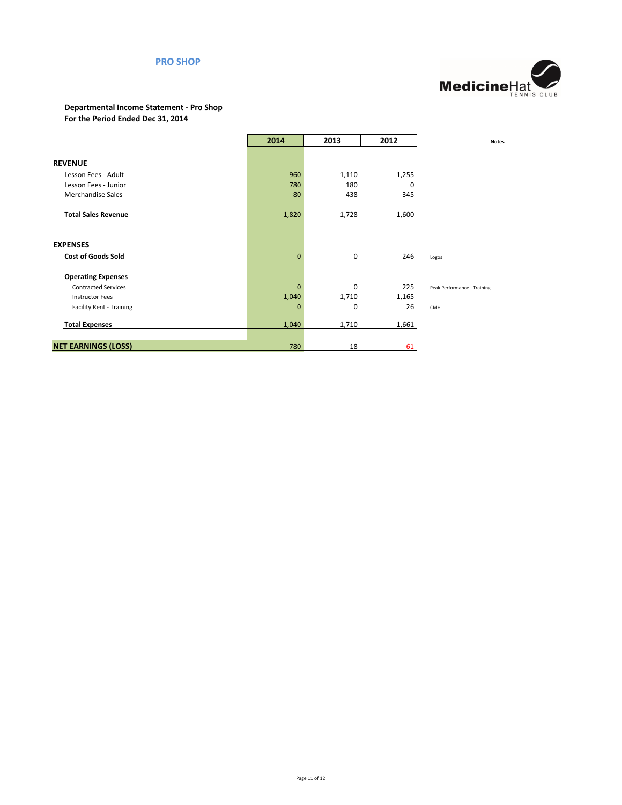## **PRO SHOP**



#### **Departmental Income Statement - Pro Shop For the Period Ended Dec 31, 2014**

|                                 | 2014           | 2013        | 2012  | <b>Notes</b>                |
|---------------------------------|----------------|-------------|-------|-----------------------------|
|                                 |                |             |       |                             |
| <b>REVENUE</b>                  |                |             |       |                             |
| Lesson Fees - Adult             | 960            | 1,110       | 1,255 |                             |
| Lesson Fees - Junior            | 780            | 180         | 0     |                             |
| <b>Merchandise Sales</b>        | 80             | 438         | 345   |                             |
| <b>Total Sales Revenue</b>      | 1,820          | 1,728       | 1,600 |                             |
|                                 |                |             |       |                             |
| <b>EXPENSES</b>                 |                |             |       |                             |
| <b>Cost of Goods Sold</b>       | $\overline{0}$ | $\mathbf 0$ | 246   | Logos                       |
| <b>Operating Expenses</b>       |                |             |       |                             |
| <b>Contracted Services</b>      | $\overline{0}$ | 0           | 225   | Peak Performance - Training |
| <b>Instructor Fees</b>          | 1,040          | 1,710       | 1,165 |                             |
| <b>Facility Rent - Training</b> | 0              | $\mathbf 0$ | 26    | CMH                         |
| <b>Total Expenses</b>           | 1,040          | 1,710       | 1,661 |                             |
|                                 |                |             |       |                             |
| <b>NET EARNINGS (LOSS)</b>      | 780            | 18          | $-61$ |                             |